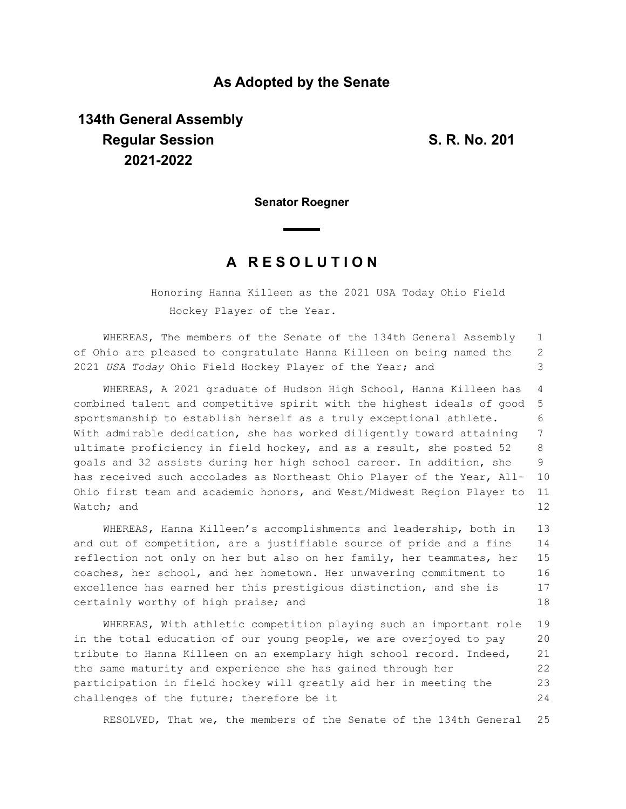## **As Adopted by the Senate**

## **134th General Assembly Regular Session S. R. No. 201 2021-2022**

**Senator Roegner**

## **A R E S O L U T I O N**

Honoring Hanna Killeen as the 2021 USA Today Ohio Field Hockey Player of the Year.

WHEREAS, The members of the Senate of the 134th General Assembly of Ohio are pleased to congratulate Hanna Killeen on being named the 2021 *USA Today* Ohio Field Hockey Player of the Year; and 1 2 3

WHEREAS, A 2021 graduate of Hudson High School, Hanna Killeen has combined talent and competitive spirit with the highest ideals of good sportsmanship to establish herself as a truly exceptional athlete. With admirable dedication, she has worked diligently toward attaining ultimate proficiency in field hockey, and as a result, she posted 52 goals and 32 assists during her high school career. In addition, she has received such accolades as Northeast Ohio Player of the Year, All-Ohio first team and academic honors, and West/Midwest Region Player to Watch; and 4 5 6 7 8 9 10 11 12

WHEREAS, Hanna Killeen's accomplishments and leadership, both in and out of competition, are a justifiable source of pride and a fine reflection not only on her but also on her family, her teammates, her coaches, her school, and her hometown. Her unwavering commitment to excellence has earned her this prestigious distinction, and she is certainly worthy of high praise; and 13 14 15 16 17 18

WHEREAS, With athletic competition playing such an important role in the total education of our young people, we are overjoyed to pay tribute to Hanna Killeen on an exemplary high school record. Indeed, the same maturity and experience she has gained through her participation in field hockey will greatly aid her in meeting the challenges of the future; therefore be it 19 20 21 22 23 24

RESOLVED, That we, the members of the Senate of the 134th General 25